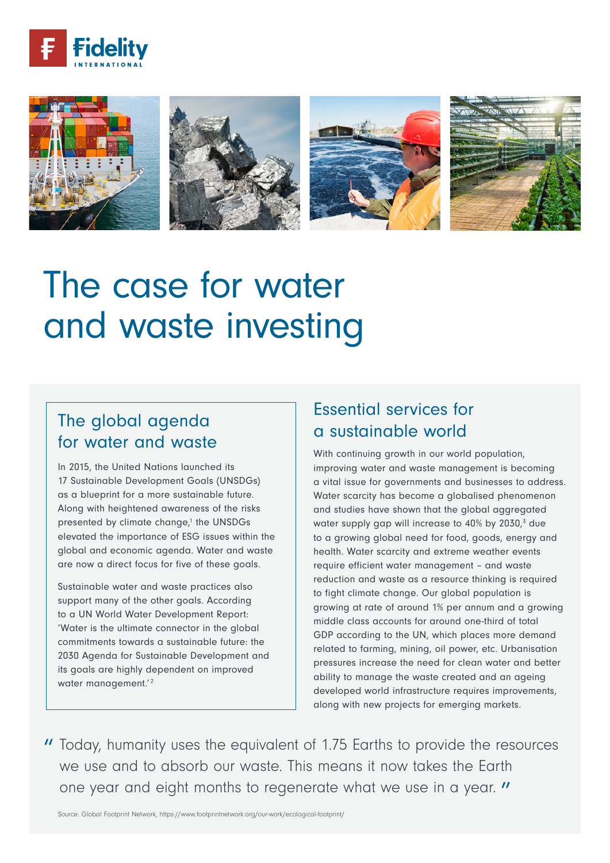



# The case for water and waste investing

## The global agenda for water and waste

In 2015, the United Nations launched its 17 Sustainable Development Goals (UNSDGs) as a blueprint for a more sustainable future. Along with heightened awareness of the risks presented by climate change,<sup>1</sup> the UNSDGs elevated the importance of ESG issues within the global and economic agenda. Water and waste are now a direct focus for five of these goals.

Sustainable water and waste practices also support many of the other goals. According to a UN World Water Development Report: 'Water is the ultimate connector in the global commitments towards a sustainable future: the 2030 Agenda for Sustainable Development and its goals are highly dependent on improved water management.'<sup>2</sup>

## Essential services for a sustainable world

With continuing growth in our world population, improving water and waste management is becoming a vital issue for governments and businesses to address. Water scarcity has become a globalised phenomenon and studies have shown that the global aggregated water supply gap will increase to 40% by 2030,<sup>3</sup> due to a growing global need for food, goods, energy and health. Water scarcity and extreme weather events require efficient water management – and waste reduction and waste as a resource thinking is required to fight climate change. Our global population is growing at rate of around 1% per annum and a growing middle class accounts for around one-third of total GDP according to the UN, which places more demand related to farming, mining, oil power, etc. Urbanisation pressures increase the need for clean water and better ability to manage the waste created and an ageing developed world infrastructure requires improvements, along with new projects for emerging markets.

" Today, humanity uses the equivalent of 1.75 Earths to provide the resources we use and to absorb our waste. This means it now takes the Earth one year and eight months to regenerate what we use in a year. "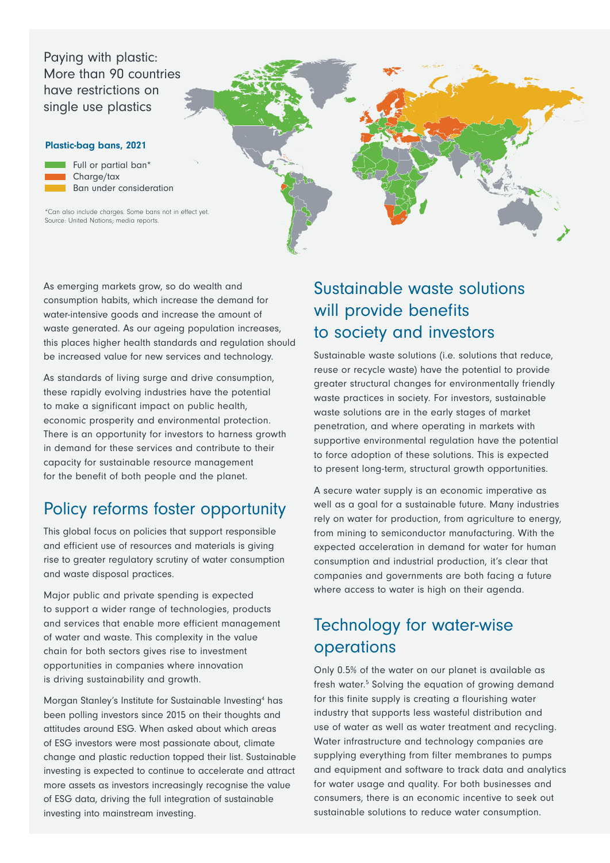Paying with plastic: More than 90 countries have restrictions on single use plastics

#### Plastic-bag bans, 2021



\*Can also include charges. Some bans not in effect yet.<br>Cause Highed National readings and the Source: United Nations; media reports.

> As emerging markets grow, so do wealth and consumption habits, which increase the demand for water-intensive goods and increase the amount of waste generated. As our ageing population increases, this places higher health standards and regulation should be increased value for new services and technology.

As standards of living surge and drive consumption, these rapidly evolving industries have the potential to make a significant impact on public health, economic prosperity and environmental protection. There is an opportunity for investors to harness growth in demand for these services and contribute to their capacity for sustainable resource management for the benefit of both people and the planet.

#### Policy reforms foster opportunity

This global focus on policies that support responsible and efficient use of resources and materials is giving rise to greater regulatory scrutiny of water consumption and waste disposal practices.

Major public and private spending is expected to support a wider range of technologies, products and services that enable more efficient management of water and waste. This complexity in the value chain for both sectors gives rise to investment opportunities in companies where innovation is driving sustainability and growth.

Morgan Stanley's Institute for Sustainable Investing<sup>4</sup> has been polling investors since 2015 on their thoughts and attitudes around ESG. When asked about which areas of ESG investors were most passionate about, climate change and plastic reduction topped their list. Sustainable investing is expected to continue to accelerate and attract more assets as investors increasingly recognise the value of ESG data, driving the full integration of sustainable investing into mainstream investing.

# Sustainable waste solutions will provide benefits to society and investors

Sustainable waste solutions (i.e. solutions that reduce, reuse or recycle waste) have the potential to provide greater structural changes for environmentally friendly waste practices in society. For investors, sustainable waste solutions are in the early stages of market penetration, and where operating in markets with supportive environmental regulation have the potential to force adoption of these solutions. This is expected to present long-term, structural growth opportunities.

A secure water supply is an economic imperative as well as a goal for a sustainable future. Many industries rely on water for production, from agriculture to energy, from mining to semiconductor manufacturing. With the expected acceleration in demand for water for human consumption and industrial production, it's clear that companies and governments are both facing a future where access to water is high on their agenda.

# Technology for water-wise operations

Only 0.5% of the water on our planet is available as fresh water.<sup>5</sup> Solving the equation of growing demand for this finite supply is creating a flourishing water industry that supports less wasteful distribution and use of water as well as water treatment and recycling. Water infrastructure and technology companies are supplying everything from filter membranes to pumps and equipment and software to track data and analytics for water usage and quality. For both businesses and consumers, there is an economic incentive to seek out sustainable solutions to reduce water consumption.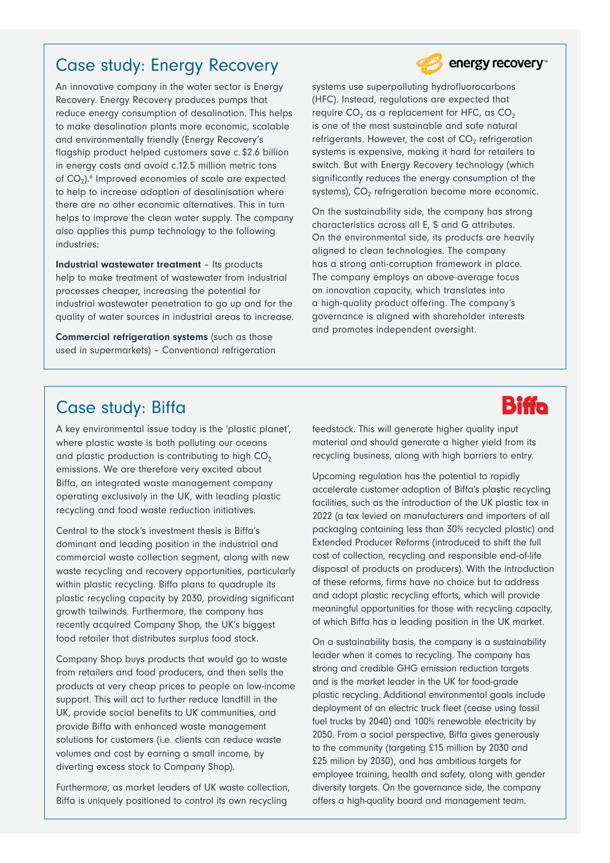### Case study: Energy Recovery

An innovative company in the water sector is Energy Recovery. Energy Recovery produces pumps that reduce energy consumption of desalination. This helps to make desalination plants more economic, scalable and environmentally friendly (Energy Recovery's flagship product helped customers save c.\$2.6 billion in energy costs and avoid c.12.5 million metric tons of CO<sub>2</sub>).<sup>6</sup> Improved economies of scale are expected to help to increase adoption of desalinisation where there are no other economic alternatives. This in turn helps to improve the clean water supply. The company also applies this pump technology to the following industries:

Industrial wastewater treatment – Its products help to make treatment of wastewater from industrial processes cheaper, increasing the potential for industrial wastewater penetration to go up and for the quality of water sources in industrial areas to increase.

Commercial refrigeration systems (such as those used in supermarkets) – Conventional refrigeration



On the sustainability side, the company has strong characteristics across all E, S and G attributes. On the environmental side, its products are heavily aligned to clean technologies. The company has a strong anti-corruption framework in place. The company employs an above-average focus on innovation capacity, which translates into a high-quality product offering. The company's governance is aligned with shareholder interests and promotes independent oversight.

#### Case study: Biffa

A key environmental issue today is the 'plastic planet', where plastic waste is both polluting our oceans and plastic production is contributing to high  $CO<sub>2</sub>$ emissions. We are therefore very excited about Biffa, an integrated waste management company operating exclusively in the UK, with leading plastic recycling and food waste reduction initiatives.

Central to the stock's investment thesis is Biffa's dominant and leading position in the industrial and commercial waste collection segment, along with new waste recycling and recovery opportunities, particularly within plastic recycling. Biffa plans to quadruple its plastic recycling capacity by 2030, providing significant growth tailwinds. Furthermore, the company has recently acquired Company Shop, the UK's biggest food retailer that distributes surplus food stock.

Company Shop buys products that would go to waste from retailers and food producers, and then sells the products at very cheap prices to people on low-income support. This will act to further reduce landfill in the UK, provide social benefits to UK communities, and provide Biffa with enhanced waste management solutions for customers (i.e. clients can reduce waste volumes and cost by earning a small income, by diverting excess stock to Company Shop).

Furthermore, as market leaders of UK waste collection, Biffa is uniquely positioned to control its own recycling

feedstock. This will generate higher quality input material and should generate a higher yield from its recycling business, along with high barriers to entry.

Upcoming regulation has the potential to rapidly accelerate customer adoption of Biffa's plastic recycling facilities, such as the introduction of the UK plastic tax in 2022 (a tax levied on manufacturers and importers of all packaging containing less than 30% recycled plastic) and Extended Producer Reforms (introduced to shift the full cost of collection, recycling and responsible end-of-life disposal of products on producers). With the introduction of these reforms, firms have no choice but to address and adopt plastic recycling efforts, which will provide meaningful opportunities for those with recycling capacity, of which Biffa has a leading position in the UK market.

On a sustainability basis, the company is a sustainability leader when it comes to recycling. The company has strong and credible GHG emission reduction targets and is the market leader in the UK for food-grade plastic recycling. Additional environmental goals include deployment of an electric truck fleet (cease using fossil fuel trucks by 2040) and 100% renewable electricity by 2050. From a social perspective, Biffa gives generously to the community (targeting £15 million by 2030 and £25 milion by 2030), and has ambitious targets for employee training, health and safety, along with gender diversity targets. On the governance side, the company offers a high-quality board and management team.